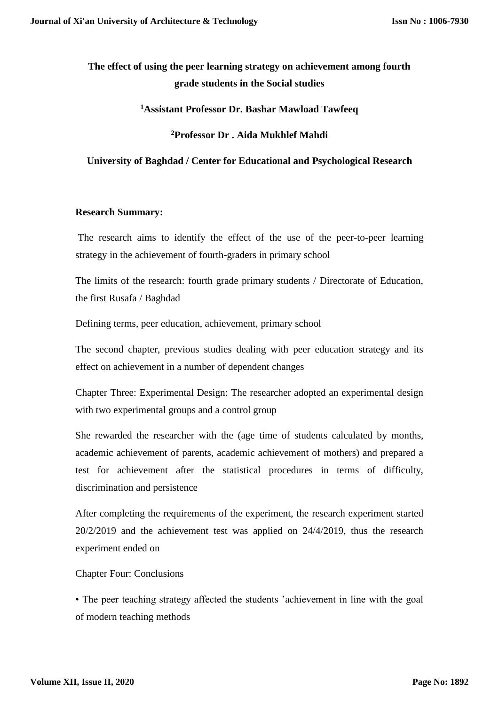# **The effect of using the peer learning strategy on achievement among fourth grade students in the Social studies**

**<sup>1</sup>Assistant Professor Dr. Bashar Mawload Tawfeeq**

## **<sup>2</sup>Professor Dr . Aida Mukhlef Mahdi**

## **University of Baghdad / Center for Educational and Psychological Research**

## **Research Summary:**

The research aims to identify the effect of the use of the peer-to-peer learning strategy in the achievement of fourth-graders in primary school

The limits of the research: fourth grade primary students / Directorate of Education, the first Rusafa / Baghdad

Defining terms, peer education, achievement, primary school

The second chapter, previous studies dealing with peer education strategy and its effect on achievement in a number of dependent changes

Chapter Three: Experimental Design: The researcher adopted an experimental design with two experimental groups and a control group

She rewarded the researcher with the (age time of students calculated by months, academic achievement of parents, academic achievement of mothers) and prepared a test for achievement after the statistical procedures in terms of difficulty, discrimination and persistence

After completing the requirements of the experiment, the research experiment started 20/2/2019 and the achievement test was applied on 24/4/2019, thus the research experiment ended on

Chapter Four: Conclusions

• The peer teaching strategy affected the students 'achievement in line with the goal of modern teaching methods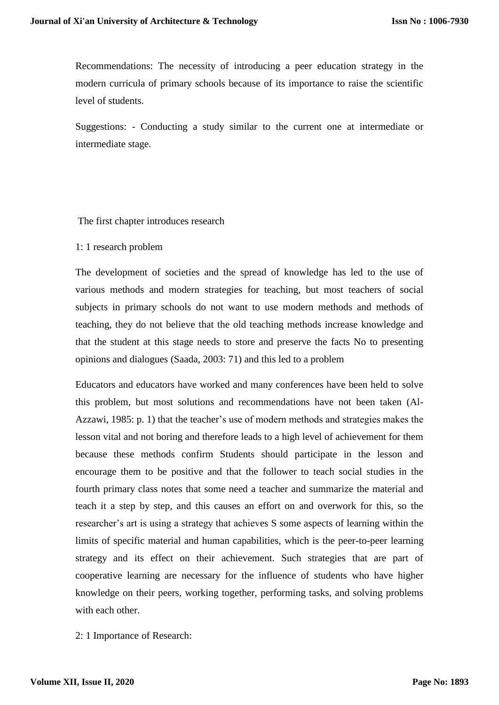Recommendations: The necessity of introducing a peer education strategy in the modern curricula of primary schools because of its importance to raise the scientific level of students.

Suggestions: - Conducting a study similar to the current one at intermediate or intermediate stage.

The first chapter introduces research

#### 1: 1 research problem

The development of societies and the spread of knowledge has led to the use of various methods and modern strategies for teaching, but most teachers of social subjects in primary schools do not want to use modern methods and methods of teaching, they do not believe that the old teaching methods increase knowledge and that the student at this stage needs to store and preserve the facts No to presenting opinions and dialogues (Saada, 2003: 71) and this led to a problem

Educators and educators have worked and many conferences have been held to solve this problem, but most solutions and recommendations have not been taken (Al-Azzawi, 1985: p. 1) that the teacher's use of modern methods and strategies makes the lesson vital and not boring and therefore leads to a high level of achievement for them because these methods confirm Students should participate in the lesson and encourage them to be positive and that the follower to teach social studies in the fourth primary class notes that some need a teacher and summarize the material and teach it a step by step, and this causes an effort on and overwork for this, so the researcher's art is using a strategy that achieves S some aspects of learning within the limits of specific material and human capabilities, which is the peer-to-peer learning strategy and its effect on their achievement. Such strategies that are part of cooperative learning are necessary for the influence of students who have higher knowledge on their peers, working together, performing tasks, and solving problems with each other.

2: 1 Importance of Research: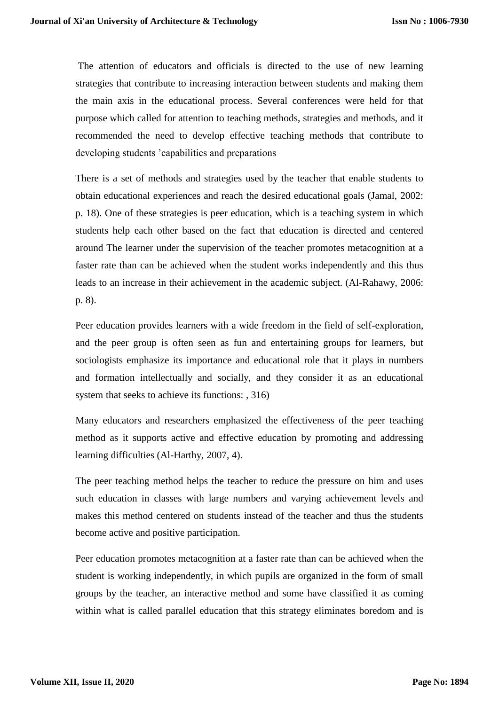The attention of educators and officials is directed to the use of new learning strategies that contribute to increasing interaction between students and making them the main axis in the educational process. Several conferences were held for that purpose which called for attention to teaching methods, strategies and methods, and it recommended the need to develop effective teaching methods that contribute to developing students 'capabilities and preparations

There is a set of methods and strategies used by the teacher that enable students to obtain educational experiences and reach the desired educational goals (Jamal, 2002: p. 18). One of these strategies is peer education, which is a teaching system in which students help each other based on the fact that education is directed and centered around The learner under the supervision of the teacher promotes metacognition at a faster rate than can be achieved when the student works independently and this thus leads to an increase in their achievement in the academic subject. (Al-Rahawy, 2006: p. 8).

Peer education provides learners with a wide freedom in the field of self-exploration, and the peer group is often seen as fun and entertaining groups for learners, but sociologists emphasize its importance and educational role that it plays in numbers and formation intellectually and socially, and they consider it as an educational system that seeks to achieve its functions: , 316)

Many educators and researchers emphasized the effectiveness of the peer teaching method as it supports active and effective education by promoting and addressing learning difficulties (Al-Harthy, 2007, 4).

The peer teaching method helps the teacher to reduce the pressure on him and uses such education in classes with large numbers and varying achievement levels and makes this method centered on students instead of the teacher and thus the students become active and positive participation.

Peer education promotes metacognition at a faster rate than can be achieved when the student is working independently, in which pupils are organized in the form of small groups by the teacher, an interactive method and some have classified it as coming within what is called parallel education that this strategy eliminates boredom and is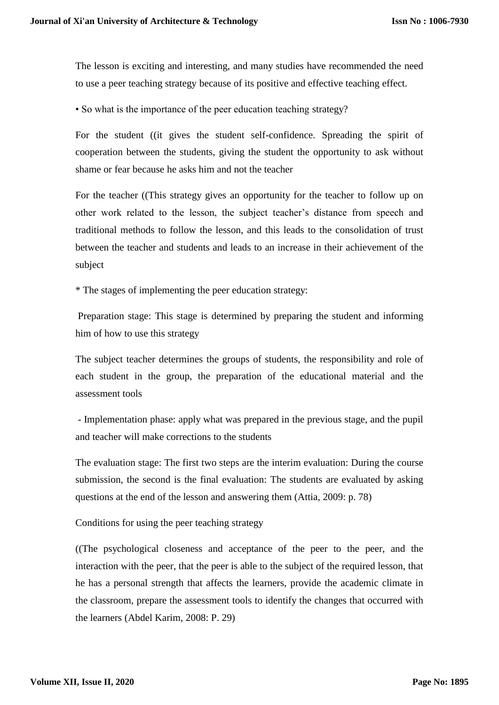The lesson is exciting and interesting, and many studies have recommended the need to use a peer teaching strategy because of its positive and effective teaching effect.

• So what is the importance of the peer education teaching strategy?

For the student ((it gives the student self-confidence. Spreading the spirit of cooperation between the students, giving the student the opportunity to ask without shame or fear because he asks him and not the teacher

For the teacher ((This strategy gives an opportunity for the teacher to follow up on other work related to the lesson, the subject teacher's distance from speech and traditional methods to follow the lesson, and this leads to the consolidation of trust between the teacher and students and leads to an increase in their achievement of the subject

\* The stages of implementing the peer education strategy:

Preparation stage: This stage is determined by preparing the student and informing him of how to use this strategy

The subject teacher determines the groups of students, the responsibility and role of each student in the group, the preparation of the educational material and the assessment tools

- Implementation phase: apply what was prepared in the previous stage, and the pupil and teacher will make corrections to the students

The evaluation stage: The first two steps are the interim evaluation: During the course submission, the second is the final evaluation: The students are evaluated by asking questions at the end of the lesson and answering them (Attia, 2009: p. 78)

Conditions for using the peer teaching strategy

((The psychological closeness and acceptance of the peer to the peer, and the interaction with the peer, that the peer is able to the subject of the required lesson, that he has a personal strength that affects the learners, provide the academic climate in the classroom, prepare the assessment tools to identify the changes that occurred with the learners (Abdel Karim, 2008: P. 29)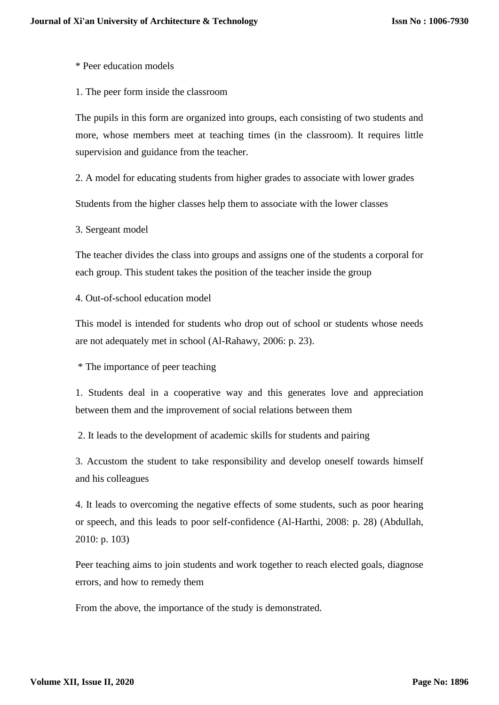\* Peer education models

1. The peer form inside the classroom

The pupils in this form are organized into groups, each consisting of two students and more, whose members meet at teaching times (in the classroom). It requires little supervision and guidance from the teacher.

2. A model for educating students from higher grades to associate with lower grades

Students from the higher classes help them to associate with the lower classes

3. Sergeant model

The teacher divides the class into groups and assigns one of the students a corporal for each group. This student takes the position of the teacher inside the group

4. Out-of-school education model

This model is intended for students who drop out of school or students whose needs are not adequately met in school (Al-Rahawy, 2006: p. 23).

\* The importance of peer teaching

1. Students deal in a cooperative way and this generates love and appreciation between them and the improvement of social relations between them

2. It leads to the development of academic skills for students and pairing

3. Accustom the student to take responsibility and develop oneself towards himself and his colleagues

4. It leads to overcoming the negative effects of some students, such as poor hearing or speech, and this leads to poor self-confidence (Al-Harthi, 2008: p. 28) (Abdullah, 2010: p. 103)

Peer teaching aims to join students and work together to reach elected goals, diagnose errors, and how to remedy them

From the above, the importance of the study is demonstrated.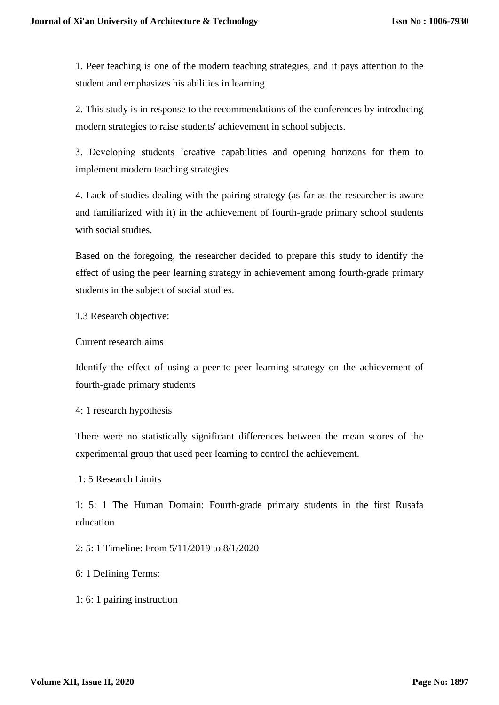1. Peer teaching is one of the modern teaching strategies, and it pays attention to the student and emphasizes his abilities in learning

2. This study is in response to the recommendations of the conferences by introducing modern strategies to raise students' achievement in school subjects.

3. Developing students 'creative capabilities and opening horizons for them to implement modern teaching strategies

4. Lack of studies dealing with the pairing strategy (as far as the researcher is aware and familiarized with it) in the achievement of fourth-grade primary school students with social studies.

Based on the foregoing, the researcher decided to prepare this study to identify the effect of using the peer learning strategy in achievement among fourth-grade primary students in the subject of social studies.

1.3 Research objective:

Current research aims

Identify the effect of using a peer-to-peer learning strategy on the achievement of fourth-grade primary students

4: 1 research hypothesis

There were no statistically significant differences between the mean scores of the experimental group that used peer learning to control the achievement.

1: 5 Research Limits

1: 5: 1 The Human Domain: Fourth-grade primary students in the first Rusafa education

2: 5: 1 Timeline: From 5/11/2019 to 8/1/2020

6: 1 Defining Terms:

1: 6: 1 pairing instruction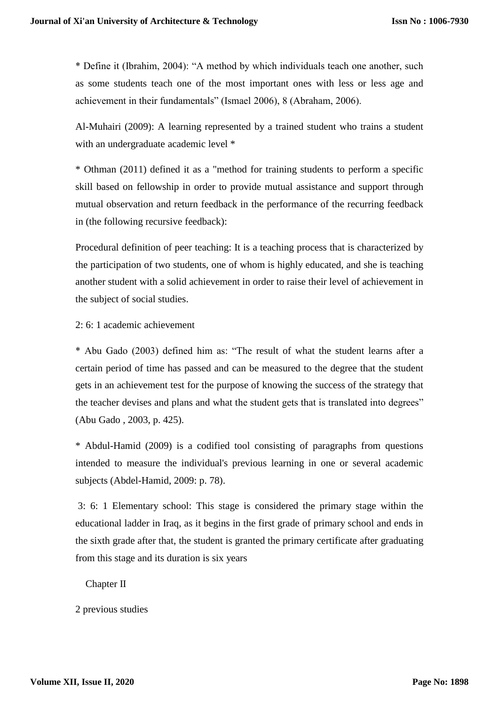\* Define it (Ibrahim, 2004): "A method by which individuals teach one another, such as some students teach one of the most important ones with less or less age and achievement in their fundamentals" (Ismael 2006), 8 (Abraham, 2006).

Al-Muhairi (2009): A learning represented by a trained student who trains a student with an undergraduate academic level  $*$ 

\* Othman (2011) defined it as a "method for training students to perform a specific skill based on fellowship in order to provide mutual assistance and support through mutual observation and return feedback in the performance of the recurring feedback in (the following recursive feedback):

Procedural definition of peer teaching: It is a teaching process that is characterized by the participation of two students, one of whom is highly educated, and she is teaching another student with a solid achievement in order to raise their level of achievement in the subject of social studies.

2: 6: 1 academic achievement

\* Abu Gado (2003) defined him as: "The result of what the student learns after a certain period of time has passed and can be measured to the degree that the student gets in an achievement test for the purpose of knowing the success of the strategy that the teacher devises and plans and what the student gets that is translated into degrees" (Abu Gado , 2003, p. 425).

\* Abdul-Hamid (2009) is a codified tool consisting of paragraphs from questions intended to measure the individual's previous learning in one or several academic subjects (Abdel-Hamid, 2009: p. 78).

3: 6: 1 Elementary school: This stage is considered the primary stage within the educational ladder in Iraq, as it begins in the first grade of primary school and ends in the sixth grade after that, the student is granted the primary certificate after graduating from this stage and its duration is six years

Chapter II

2 previous studies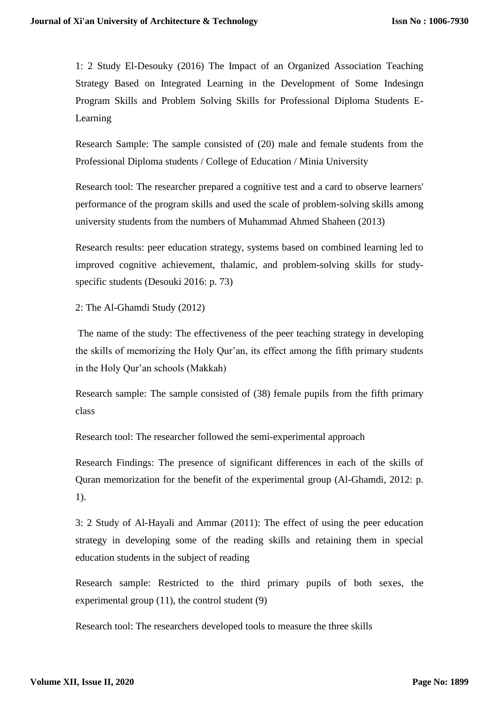1: 2 Study El-Desouky (2016) The Impact of an Organized Association Teaching Strategy Based on Integrated Learning in the Development of Some Indesingn Program Skills and Problem Solving Skills for Professional Diploma Students E-Learning

Research Sample: The sample consisted of (20) male and female students from the Professional Diploma students / College of Education / Minia University

Research tool: The researcher prepared a cognitive test and a card to observe learners' performance of the program skills and used the scale of problem-solving skills among university students from the numbers of Muhammad Ahmed Shaheen (2013)

Research results: peer education strategy, systems based on combined learning led to improved cognitive achievement, thalamic, and problem-solving skills for studyspecific students (Desouki 2016: p. 73)

2: The Al-Ghamdi Study (2012)

The name of the study: The effectiveness of the peer teaching strategy in developing the skills of memorizing the Holy Qur'an, its effect among the fifth primary students in the Holy Qur'an schools (Makkah)

Research sample: The sample consisted of (38) female pupils from the fifth primary class

Research tool: The researcher followed the semi-experimental approach

Research Findings: The presence of significant differences in each of the skills of Quran memorization for the benefit of the experimental group (Al-Ghamdi, 2012: p. 1).

3: 2 Study of Al-Hayali and Ammar (2011): The effect of using the peer education strategy in developing some of the reading skills and retaining them in special education students in the subject of reading

Research sample: Restricted to the third primary pupils of both sexes, the experimental group (11), the control student (9)

Research tool: The researchers developed tools to measure the three skills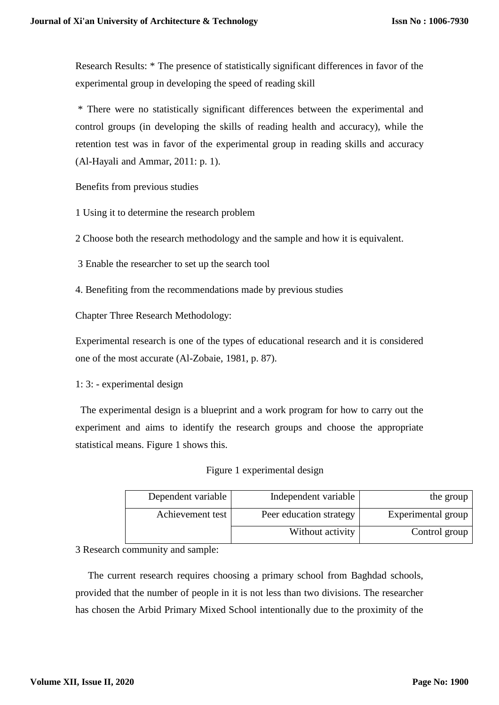Research Results: \* The presence of statistically significant differences in favor of the experimental group in developing the speed of reading skill

\* There were no statistically significant differences between the experimental and control groups (in developing the skills of reading health and accuracy), while the retention test was in favor of the experimental group in reading skills and accuracy (Al-Hayali and Ammar, 2011: p. 1).

Benefits from previous studies

1 Using it to determine the research problem

2 Choose both the research methodology and the sample and how it is equivalent.

3 Enable the researcher to set up the search tool

4. Benefiting from the recommendations made by previous studies

Chapter Three Research Methodology:

Experimental research is one of the types of educational research and it is considered one of the most accurate (Al-Zobaie, 1981, p. 87).

1: 3: - experimental design

 The experimental design is a blueprint and a work program for how to carry out the experiment and aims to identify the research groups and choose the appropriate statistical means. Figure 1 shows this.

Figure 1 experimental design

| Dependent variable | Independent variable    | the group          |
|--------------------|-------------------------|--------------------|
| Achievement test   | Peer education strategy | Experimental group |
|                    | Without activity        | Control group      |

3 Research community and sample:

 The current research requires choosing a primary school from Baghdad schools, provided that the number of people in it is not less than two divisions. The researcher has chosen the Arbid Primary Mixed School intentionally due to the proximity of the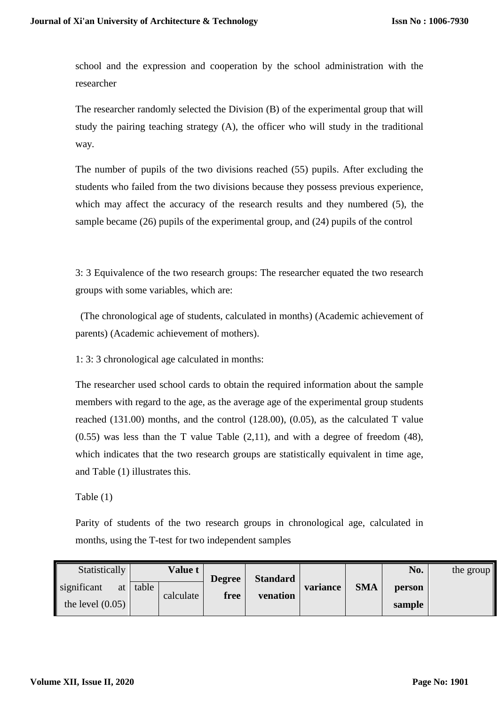school and the expression and cooperation by the school administration with the researcher

The researcher randomly selected the Division (B) of the experimental group that will study the pairing teaching strategy (A), the officer who will study in the traditional way.

The number of pupils of the two divisions reached (55) pupils. After excluding the students who failed from the two divisions because they possess previous experience, which may affect the accuracy of the research results and they numbered (5), the sample became (26) pupils of the experimental group, and (24) pupils of the control

3: 3 Equivalence of the two research groups: The researcher equated the two research groups with some variables, which are:

 (The chronological age of students, calculated in months) (Academic achievement of parents) (Academic achievement of mothers).

1: 3: 3 chronological age calculated in months:

The researcher used school cards to obtain the required information about the sample members with regard to the age, as the average age of the experimental group students reached (131.00) months, and the control (128.00), (0.05), as the calculated T value  $(0.55)$  was less than the T value Table  $(2,11)$ , and with a degree of freedom  $(48)$ , which indicates that the two research groups are statistically equivalent in time age, and Table (1) illustrates this.

Table (1)

Parity of students of the two research groups in chronological age, calculated in months, using the T-test for two independent samples

| Statistically                           |       | <b>Value t</b> | <b>Degree</b> | <b>Standard</b> |          |            | No.              | the group |
|-----------------------------------------|-------|----------------|---------------|-----------------|----------|------------|------------------|-----------|
| significant<br>at<br>the level $(0.05)$ | table | calculate      | free          | venation        | variance | <b>SMA</b> | person<br>sample |           |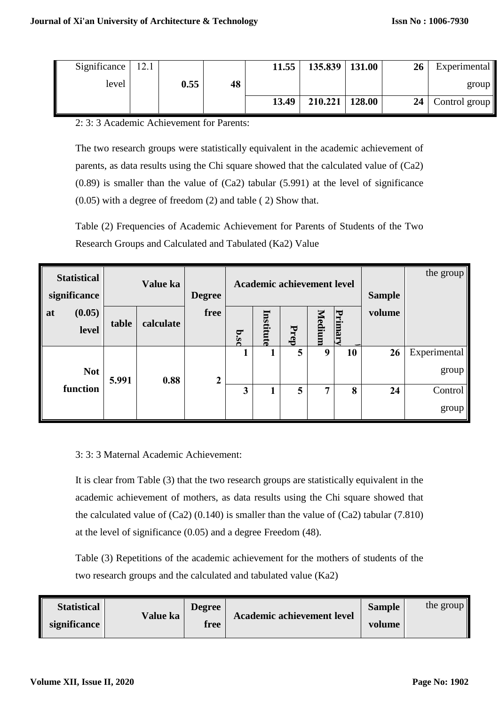| Significance   $12.1$ |      |    | 11.55 | $135.839$   131.00 | 26              | Experimental  |
|-----------------------|------|----|-------|--------------------|-----------------|---------------|
| level                 | 0.55 | 48 |       |                    |                 | group         |
|                       |      |    | 13.49 | $210.221$   128.00 | 24 <sup>1</sup> | Control group |

2: 3: 3 Academic Achievement for Parents:

The two research groups were statistically equivalent in the academic achievement of parents, as data results using the Chi square showed that the calculated value of (Ca2) (0.89) is smaller than the value of (Ca2) tabular (5.991) at the level of significance (0.05) with a degree of freedom (2) and table ( 2) Show that.

Table (2) Frequencies of Academic Achievement for Parents of Students of the Two Research Groups and Calculated and Tabulated (Ka2) Value

| <b>Statistical</b><br>significance | Value ka |           | Academic achievement level<br><b>Degree</b> |             |           |      |        | <b>Sample</b> | the group |                       |
|------------------------------------|----------|-----------|---------------------------------------------|-------------|-----------|------|--------|---------------|-----------|-----------------------|
| (0.05)<br>at<br>level              | table    | calculate | free                                        | <b>b.sc</b> | Institute | Prep | Medium | <b>Primar</b> | volume    |                       |
| <b>Not</b>                         | 5.991    | 0.88      | $\mathbf{2}$                                |             | 1         | 5    | 9      | 10            | 26        | Experimental<br>group |
| function                           |          |           |                                             | 3           |           | 5    | 7      | 8             | 24        | Control<br>group      |

3: 3: 3 Maternal Academic Achievement:

It is clear from Table (3) that the two research groups are statistically equivalent in the academic achievement of mothers, as data results using the Chi square showed that the calculated value of  $(Ca2)$  (0.140) is smaller than the value of  $(Ca2)$  tabular (7.810) at the level of significance (0.05) and a degree Freedom (48).

Table (3) Repetitions of the academic achievement for the mothers of students of the two research groups and the calculated and tabulated value (Ka2)

| <b>Statistical</b> | Value ka | Degree | Academic achievement level | <b>Sample</b> | the group |
|--------------------|----------|--------|----------------------------|---------------|-----------|
| significance       |          | free   |                            | volume        |           |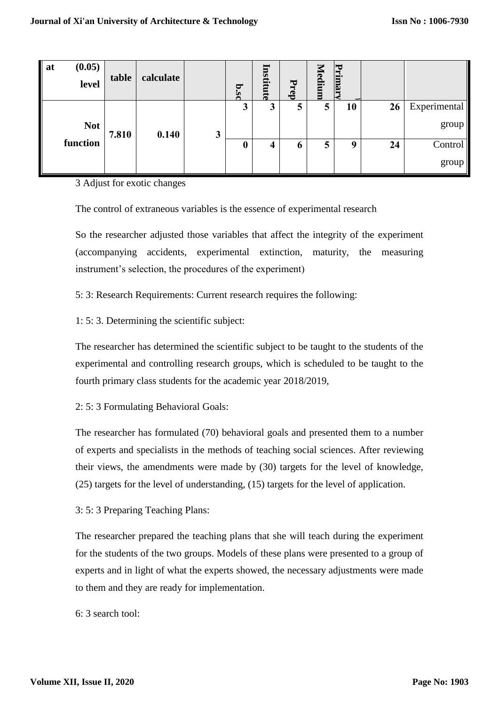| (0.05)<br>at<br>level | table | calculate |   | p.sc             | Institute | Prep | <b><i>Tedium</i></b> | Primar      |    |                          |
|-----------------------|-------|-----------|---|------------------|-----------|------|----------------------|-------------|----|--------------------------|
| <b>Not</b>            | 7.810 | 0.140     | 3 | 3                | 3         | 5    | 5                    | 10          | 26 | Experimental<br>$\gamma$ |
| function              |       |           |   | $\boldsymbol{0}$ | 4         | o    | 5                    | $\mathbf o$ | 24 | Control<br>group         |

3 Adjust for exotic changes

The control of extraneous variables is the essence of experimental research

So the researcher adjusted those variables that affect the integrity of the experiment (accompanying accidents, experimental extinction, maturity, the measuring instrument's selection, the procedures of the experiment)

5: 3: Research Requirements: Current research requires the following:

1: 5: 3. Determining the scientific subject:

The researcher has determined the scientific subject to be taught to the students of the experimental and controlling research groups, which is scheduled to be taught to the fourth primary class students for the academic year 2018/2019,

2: 5: 3 Formulating Behavioral Goals:

The researcher has formulated (70) behavioral goals and presented them to a number of experts and specialists in the methods of teaching social sciences. After reviewing their views, the amendments were made by (30) targets for the level of knowledge, (25) targets for the level of understanding, (15) targets for the level of application.

3: 5: 3 Preparing Teaching Plans:

The researcher prepared the teaching plans that she will teach during the experiment for the students of the two groups. Models of these plans were presented to a group of experts and in light of what the experts showed, the necessary adjustments were made to them and they are ready for implementation.

6: 3 search tool: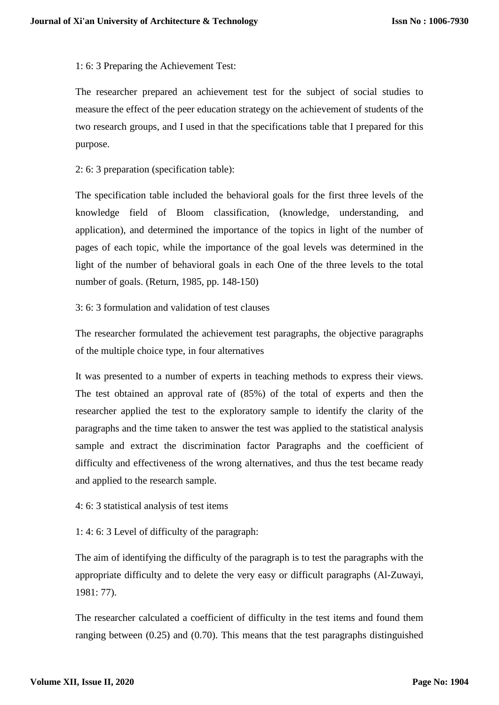1: 6: 3 Preparing the Achievement Test:

The researcher prepared an achievement test for the subject of social studies to measure the effect of the peer education strategy on the achievement of students of the two research groups, and I used in that the specifications table that I prepared for this purpose.

2: 6: 3 preparation (specification table):

The specification table included the behavioral goals for the first three levels of the knowledge field of Bloom classification, (knowledge, understanding, and application), and determined the importance of the topics in light of the number of pages of each topic, while the importance of the goal levels was determined in the light of the number of behavioral goals in each One of the three levels to the total number of goals. (Return, 1985, pp. 148-150)

3: 6: 3 formulation and validation of test clauses

The researcher formulated the achievement test paragraphs, the objective paragraphs of the multiple choice type, in four alternatives

It was presented to a number of experts in teaching methods to express their views. The test obtained an approval rate of (85%) of the total of experts and then the researcher applied the test to the exploratory sample to identify the clarity of the paragraphs and the time taken to answer the test was applied to the statistical analysis sample and extract the discrimination factor Paragraphs and the coefficient of difficulty and effectiveness of the wrong alternatives, and thus the test became ready and applied to the research sample.

4: 6: 3 statistical analysis of test items

1: 4: 6: 3 Level of difficulty of the paragraph:

The aim of identifying the difficulty of the paragraph is to test the paragraphs with the appropriate difficulty and to delete the very easy or difficult paragraphs (Al-Zuwayi, 1981: 77).

The researcher calculated a coefficient of difficulty in the test items and found them ranging between (0.25) and (0.70). This means that the test paragraphs distinguished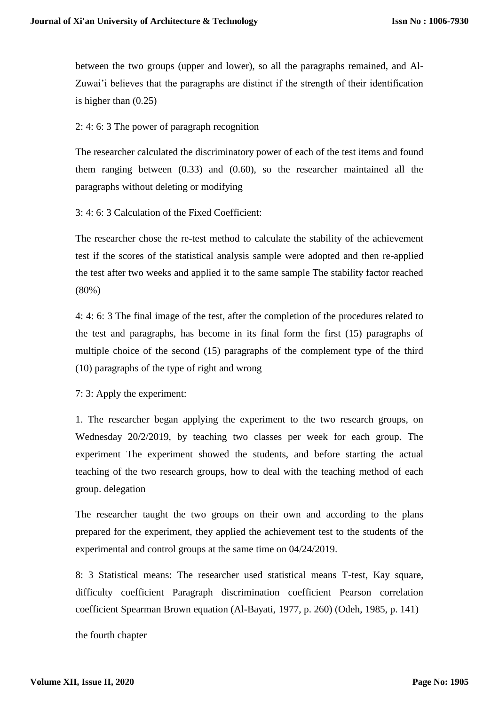between the two groups (upper and lower), so all the paragraphs remained, and Al-Zuwai'i believes that the paragraphs are distinct if the strength of their identification is higher than (0.25)

2: 4: 6: 3 The power of paragraph recognition

The researcher calculated the discriminatory power of each of the test items and found them ranging between (0.33) and (0.60), so the researcher maintained all the paragraphs without deleting or modifying

3: 4: 6: 3 Calculation of the Fixed Coefficient:

The researcher chose the re-test method to calculate the stability of the achievement test if the scores of the statistical analysis sample were adopted and then re-applied the test after two weeks and applied it to the same sample The stability factor reached (80%)

4: 4: 6: 3 The final image of the test, after the completion of the procedures related to the test and paragraphs, has become in its final form the first (15) paragraphs of multiple choice of the second (15) paragraphs of the complement type of the third (10) paragraphs of the type of right and wrong

7: 3: Apply the experiment:

1. The researcher began applying the experiment to the two research groups, on Wednesday 20/2/2019, by teaching two classes per week for each group. The experiment The experiment showed the students, and before starting the actual teaching of the two research groups, how to deal with the teaching method of each group. delegation

The researcher taught the two groups on their own and according to the plans prepared for the experiment, they applied the achievement test to the students of the experimental and control groups at the same time on 04/24/2019.

8: 3 Statistical means: The researcher used statistical means T-test, Kay square, difficulty coefficient Paragraph discrimination coefficient Pearson correlation coefficient Spearman Brown equation (Al-Bayati, 1977, p. 260) (Odeh, 1985, p. 141)

the fourth chapter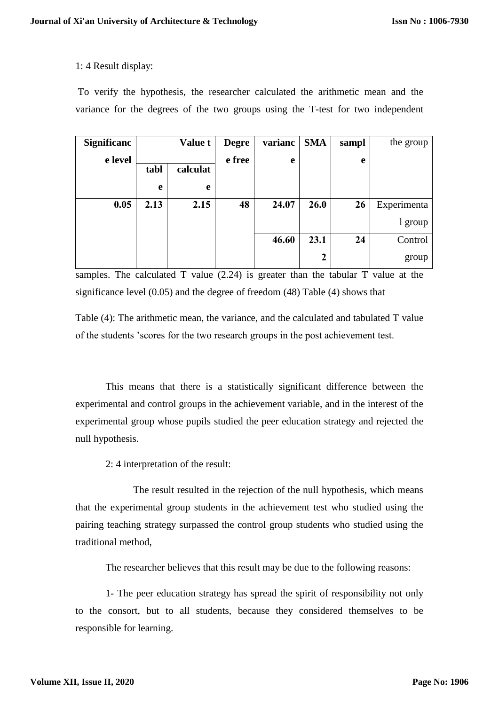## 1: 4 Result display:

To verify the hypothesis, the researcher calculated the arithmetic mean and the variance for the degrees of the two groups using the T-test for two independent

| <b>Significanc</b> |      | <b>Value t</b> | <b>Degre</b> | varianc | <b>SMA</b>       | sampl | the group   |
|--------------------|------|----------------|--------------|---------|------------------|-------|-------------|
| e level            |      |                | e free       | e       |                  | e     |             |
|                    | tabl | calculat       |              |         |                  |       |             |
|                    | e    | e              |              |         |                  |       |             |
| 0.05               | 2.13 | 2.15           | 48           | 24.07   | 26.0             | 26    | Experimenta |
|                    |      |                |              |         |                  |       | 1 group     |
|                    |      |                |              | 46.60   | 23.1             | 24    | Control     |
|                    |      |                |              |         | $\boldsymbol{2}$ |       | group       |

samples. The calculated T value (2.24) is greater than the tabular T value at the significance level (0.05) and the degree of freedom (48) Table (4) shows that

Table (4): The arithmetic mean, the variance, and the calculated and tabulated T value of the students 'scores for the two research groups in the post achievement test.

This means that there is a statistically significant difference between the experimental and control groups in the achievement variable, and in the interest of the experimental group whose pupils studied the peer education strategy and rejected the null hypothesis.

2: 4 interpretation of the result:

The result resulted in the rejection of the null hypothesis, which means that the experimental group students in the achievement test who studied using the pairing teaching strategy surpassed the control group students who studied using the traditional method,

The researcher believes that this result may be due to the following reasons:

1- The peer education strategy has spread the spirit of responsibility not only to the consort, but to all students, because they considered themselves to be responsible for learning.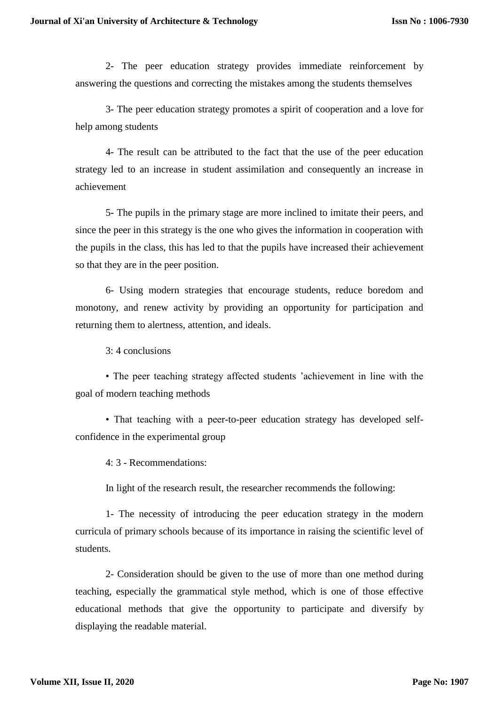2- The peer education strategy provides immediate reinforcement by answering the questions and correcting the mistakes among the students themselves

3- The peer education strategy promotes a spirit of cooperation and a love for help among students

4- The result can be attributed to the fact that the use of the peer education strategy led to an increase in student assimilation and consequently an increase in achievement

5- The pupils in the primary stage are more inclined to imitate their peers, and since the peer in this strategy is the one who gives the information in cooperation with the pupils in the class, this has led to that the pupils have increased their achievement so that they are in the peer position.

6- Using modern strategies that encourage students, reduce boredom and monotony, and renew activity by providing an opportunity for participation and returning them to alertness, attention, and ideals.

3: 4 conclusions

• The peer teaching strategy affected students 'achievement in line with the goal of modern teaching methods

• That teaching with a peer-to-peer education strategy has developed selfconfidence in the experimental group

4: 3 - Recommendations:

In light of the research result, the researcher recommends the following:

1- The necessity of introducing the peer education strategy in the modern curricula of primary schools because of its importance in raising the scientific level of students.

2- Consideration should be given to the use of more than one method during teaching, especially the grammatical style method, which is one of those effective educational methods that give the opportunity to participate and diversify by displaying the readable material.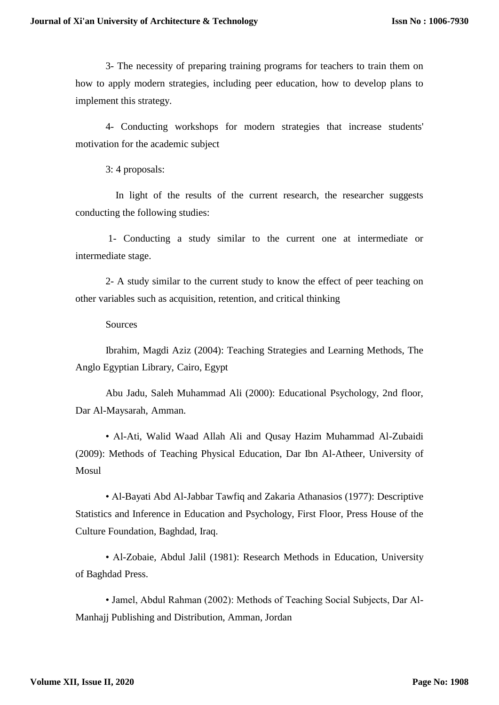3- The necessity of preparing training programs for teachers to train them on how to apply modern strategies, including peer education, how to develop plans to implement this strategy.

4- Conducting workshops for modern strategies that increase students' motivation for the academic subject

3: 4 proposals:

 In light of the results of the current research, the researcher suggests conducting the following studies:

1- Conducting a study similar to the current one at intermediate or intermediate stage.

2- A study similar to the current study to know the effect of peer teaching on other variables such as acquisition, retention, and critical thinking

#### Sources

Ibrahim, Magdi Aziz (2004): Teaching Strategies and Learning Methods, The Anglo Egyptian Library, Cairo, Egypt

Abu Jadu, Saleh Muhammad Ali (2000): Educational Psychology, 2nd floor, Dar Al-Maysarah, Amman.

• Al-Ati, Walid Waad Allah Ali and Qusay Hazim Muhammad Al-Zubaidi (2009): Methods of Teaching Physical Education, Dar Ibn Al-Atheer, University of Mosul

• Al-Bayati Abd Al-Jabbar Tawfiq and Zakaria Athanasios (1977): Descriptive Statistics and Inference in Education and Psychology, First Floor, Press House of the Culture Foundation, Baghdad, Iraq.

• Al-Zobaie, Abdul Jalil (1981): Research Methods in Education, University of Baghdad Press.

• Jamel, Abdul Rahman (2002): Methods of Teaching Social Subjects, Dar Al-Manhajj Publishing and Distribution, Amman, Jordan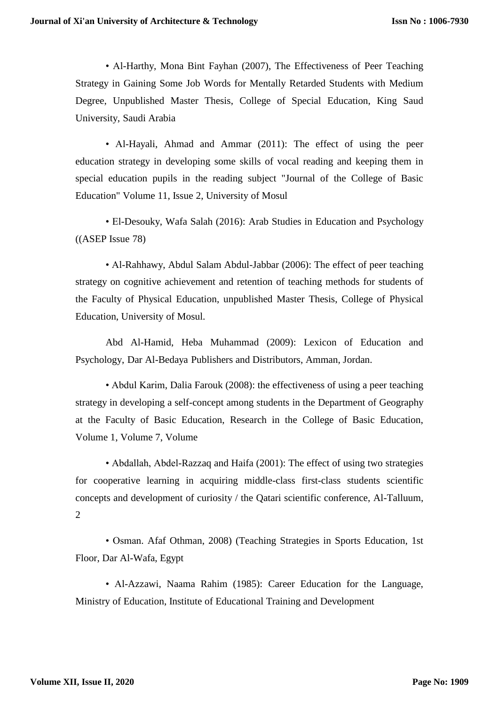• Al-Harthy, Mona Bint Fayhan (2007), The Effectiveness of Peer Teaching Strategy in Gaining Some Job Words for Mentally Retarded Students with Medium Degree, Unpublished Master Thesis, College of Special Education, King Saud University, Saudi Arabia

• Al-Hayali, Ahmad and Ammar (2011): The effect of using the peer education strategy in developing some skills of vocal reading and keeping them in special education pupils in the reading subject "Journal of the College of Basic Education" Volume 11, Issue 2, University of Mosul

• El-Desouky, Wafa Salah (2016): Arab Studies in Education and Psychology ((ASEP Issue 78)

• Al-Rahhawy, Abdul Salam Abdul-Jabbar (2006): The effect of peer teaching strategy on cognitive achievement and retention of teaching methods for students of the Faculty of Physical Education, unpublished Master Thesis, College of Physical Education, University of Mosul.

Abd Al-Hamid, Heba Muhammad (2009): Lexicon of Education and Psychology, Dar Al-Bedaya Publishers and Distributors, Amman, Jordan.

• Abdul Karim, Dalia Farouk (2008): the effectiveness of using a peer teaching strategy in developing a self-concept among students in the Department of Geography at the Faculty of Basic Education, Research in the College of Basic Education, Volume 1, Volume 7, Volume

• Abdallah, Abdel-Razzaq and Haifa (2001): The effect of using two strategies for cooperative learning in acquiring middle-class first-class students scientific concepts and development of curiosity / the Qatari scientific conference, Al-Talluum, 2

• Osman. Afaf Othman, 2008) (Teaching Strategies in Sports Education, 1st Floor, Dar Al-Wafa, Egypt

• Al-Azzawi, Naama Rahim (1985): Career Education for the Language, Ministry of Education, Institute of Educational Training and Development